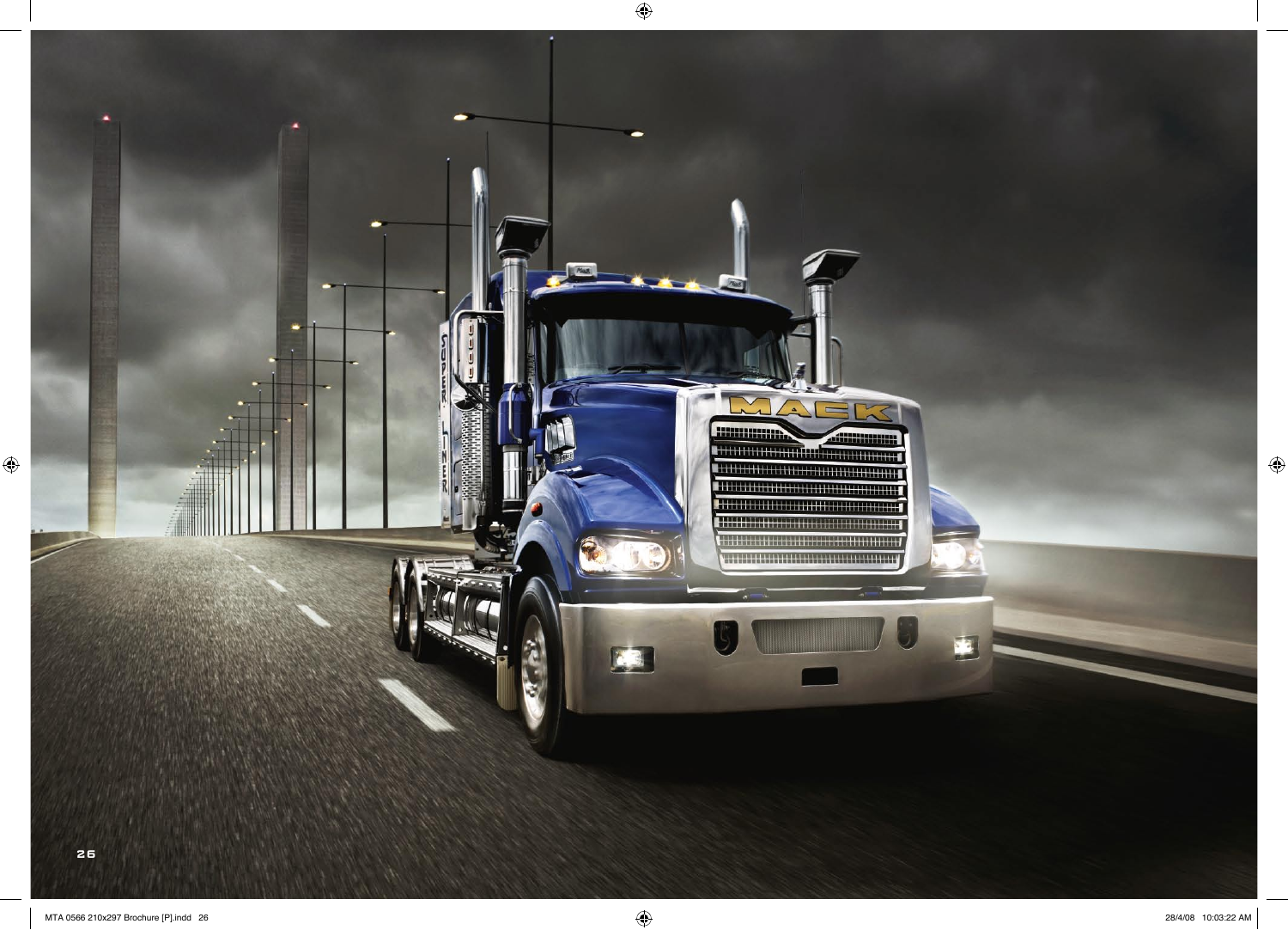